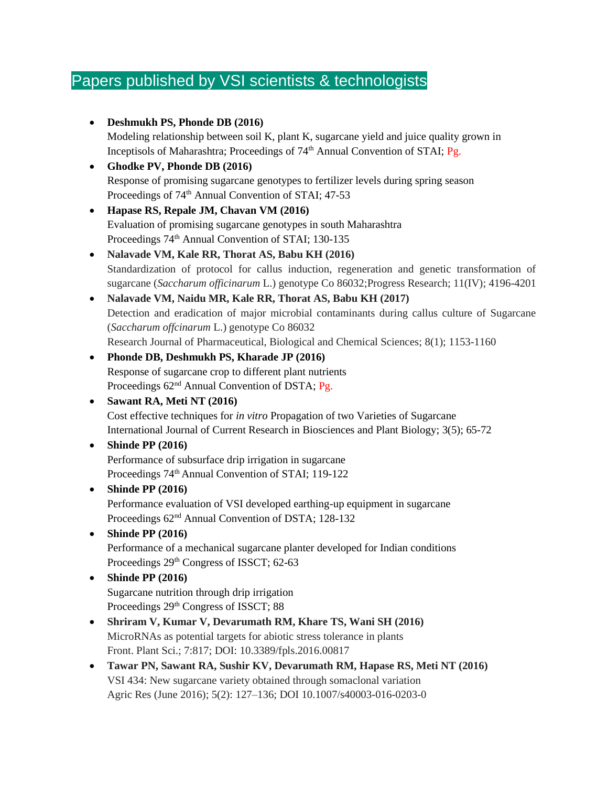## Papers published by VSI scientists & technologists

|           | Deshmukh PS, Phonde DB (2016)                                                                |
|-----------|----------------------------------------------------------------------------------------------|
|           | Modeling relationship between soil K, plant K, sugarcane yield and juice quality grown in    |
|           | Inceptisols of Maharashtra; Proceedings of 74 <sup>th</sup> Annual Convention of STAI; Pg.   |
| $\bullet$ | Ghodke PV, Phonde DB (2016)                                                                  |
|           | Response of promising sugarcane genotypes to fertilizer levels during spring season          |
|           | Proceedings of 74 <sup>th</sup> Annual Convention of STAI; 47-53                             |
| ٠         | Hapase RS, Repale JM, Chavan VM (2016)                                                       |
|           | Evaluation of promising sugarcane genotypes in south Maharashtra                             |
|           | Proceedings 74 <sup>th</sup> Annual Convention of STAI; 130-135                              |
|           | Nalavade VM, Kale RR, Thorat AS, Babu KH (2016)                                              |
|           | Standardization of protocol for callus induction, regeneration and genetic transformation of |
|           | sugarcane (Saccharum officinarum L.) genotype Co 86032; Progress Research; 11(IV); 4196-4201 |
| $\bullet$ | Nalavade VM, Naidu MR, Kale RR, Thorat AS, Babu KH (2017)                                    |
|           | Detection and eradication of major microbial contaminants during callus culture of Sugarcane |
|           | (Saccharum offcinarum L.) genotype Co 86032                                                  |
|           | Research Journal of Pharmaceutical, Biological and Chemical Sciences; 8(1); 1153-1160        |
| ٠         | Phonde DB, Deshmukh PS, Kharade JP (2016)                                                    |
|           | Response of sugarcane crop to different plant nutrients                                      |
|           | Proceedings 62 <sup>nd</sup> Annual Convention of DSTA; Pg.                                  |
| $\bullet$ | Sawant RA, Meti NT (2016)                                                                    |
|           | Cost effective techniques for in vitro Propagation of two Varieties of Sugarcane             |
|           | International Journal of Current Research in Biosciences and Plant Biology; 3(5); 65-72      |
|           | <b>Shinde PP (2016)</b>                                                                      |
|           | Performance of subsurface drip irrigation in sugarcane                                       |
|           | Proceedings 74th Annual Convention of STAI; 119-122                                          |
| $\bullet$ | <b>Shinde PP (2016)</b>                                                                      |
|           | Performance evaluation of VSI developed earthing-up equipment in sugarcane                   |
|           | Proceedings 62 <sup>nd</sup> Annual Convention of DSTA; 128-132                              |
| ٠         | <b>Shinde PP (2016)</b>                                                                      |
|           | Performance of a mechanical sugarcane planter developed for Indian conditions                |
|           | Proceedings 29th Congress of ISSCT; 62-63                                                    |
|           | <b>Shinde PP (2016)</b>                                                                      |
|           | Sugarcane nutrition through drip irrigation                                                  |
|           | Proceedings 29 <sup>th</sup> Congress of ISSCT; 88                                           |
| $\bullet$ | Shriram V, Kumar V, Devarumath RM, Khare TS, Wani SH (2016)                                  |
|           | MicroRNAs as potential targets for abiotic stress tolerance in plants                        |
|           | Front. Plant Sci.; 7:817; DOI: 10.3389/fpls.2016.00817                                       |
|           | Tawar PN, Sawant RA, Sushir KV, Devarumath RM, Hapase RS, Meti NT (2016)                     |
|           |                                                                                              |

VSI 434: New sugarcane variety obtained through somaclonal variation Agric Res (June 2016); 5(2): 127–136; DOI 10.1007/s40003-016-0203-0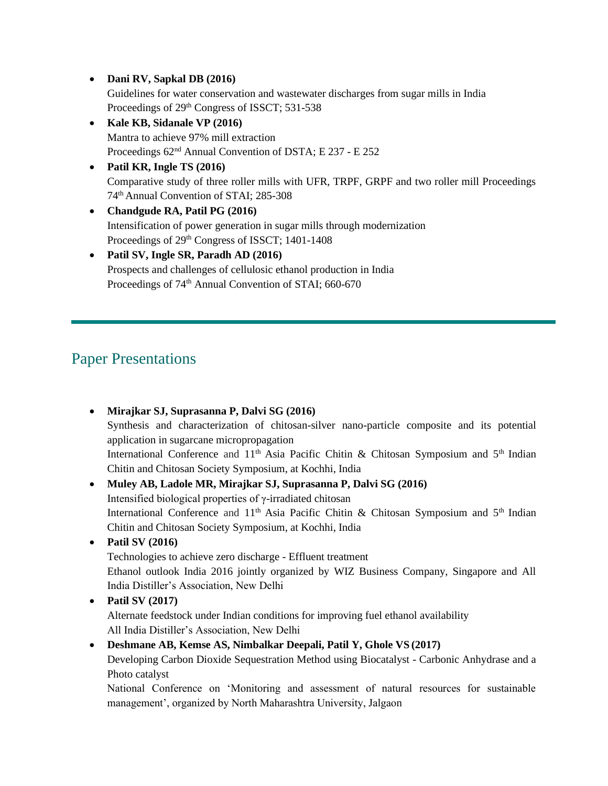• **Dani RV, Sapkal DB (2016)** 

Guidelines for water conservation and wastewater discharges from sugar mills in India Proceedings of 29<sup>th</sup> Congress of ISSCT; 531-538

- **Kale KB, Sidanale VP (2016)**  Mantra to achieve 97% mill extraction Proceedings  $62<sup>nd</sup>$  Annual Convention of DSTA; E 237 - E 252
- **Patil KR, Ingle TS (2016)** Comparative study of three roller mills with UFR, TRPF, GRPF and two roller mill Proceedings 74th Annual Convention of STAI; 285-308
- **Chandgude RA, Patil PG (2016)**  Intensification of power generation in sugar mills through modernization Proceedings of  $29<sup>th</sup>$  Congress of ISSCT; 1401-1408
- **Patil SV, Ingle SR, Paradh AD (2016)** Prospects and challenges of cellulosic ethanol production in India Proceedings of 74<sup>th</sup> Annual Convention of STAI; 660-670

## Paper Presentations

- **Mirajkar SJ, Suprasanna P, Dalvi SG (2016)**  Synthesis and characterization of chitosan-silver nano-particle composite and its potential application in sugarcane micropropagation International Conference and 11<sup>th</sup> Asia Pacific Chitin & Chitosan Symposium and 5<sup>th</sup> Indian Chitin and Chitosan Society Symposium, at Kochhi, India
- **Muley AB, Ladole MR, Mirajkar SJ, Suprasanna P, Dalvi SG (2016)** Intensified biological properties of γ-irradiated chitosan International Conference and  $11<sup>th</sup>$  Asia Pacific Chitin & Chitosan Symposium and  $5<sup>th</sup>$  Indian Chitin and Chitosan Society Symposium, at Kochhi, India
- **Patil SV (2016)**

Technologies to achieve zero discharge - Effluent treatment Ethanol outlook India 2016 jointly organized by WIZ Business Company, Singapore and All India Distiller's Association, New Delhi

• **Patil SV (2017)**

Alternate feedstock under Indian conditions for improving fuel ethanol availability All India Distiller's Association, New Delhi

• **Deshmane AB, Kemse AS, Nimbalkar Deepali, Patil Y, Ghole VS (2017)** Developing Carbon Dioxide Sequestration Method using Biocatalyst - Carbonic Anhydrase and a Photo catalyst

National Conference on 'Monitoring and assessment of natural resources for sustainable management', organized by North Maharashtra University, Jalgaon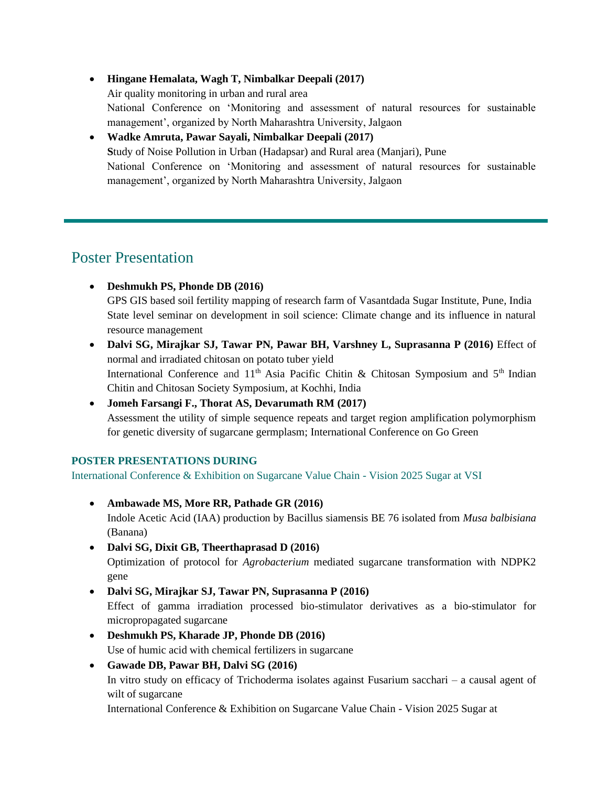- **Hingane Hemalata, Wagh T, Nimbalkar Deepali (2017)** Air quality monitoring in urban and rural area National Conference on 'Monitoring and assessment of natural resources for sustainable management', organized by North Maharashtra University, Jalgaon
- **Wadke Amruta, Pawar Sayali, Nimbalkar Deepali (2017) S**tudy of Noise Pollution in Urban (Hadapsar) and Rural area (Manjari), Pune National Conference on 'Monitoring and assessment of natural resources for sustainable management', organized by North Maharashtra University, Jalgaon

## Poster Presentation

- **Deshmukh PS, Phonde DB (2016)** GPS GIS based soil fertility mapping of research farm of Vasantdada Sugar Institute, Pune, India State level seminar on development in soil science: Climate change and its influence in natural resource management
- **Dalvi SG, Mirajkar SJ, Tawar PN, Pawar BH, Varshney L, Suprasanna P (2016)** Effect of normal and irradiated chitosan on potato tuber yield International Conference and  $11<sup>th</sup>$  Asia Pacific Chitin & Chitosan Symposium and  $5<sup>th</sup>$  Indian Chitin and Chitosan Society Symposium, at Kochhi, India
- **Jomeh Farsangi F., Thorat AS, Devarumath RM (2017)** Assessment the utility of simple sequence repeats and target region amplification polymorphism for genetic diversity of sugarcane germplasm; International Conference on Go Green

## **POSTER PRESENTATIONS DURING**

International Conference & Exhibition on Sugarcane Value Chain - Vision 2025 Sugar at VSI

- **Ambawade MS, More RR, Pathade GR (2016)**  Indole Acetic Acid (IAA) production by Bacillus siamensis BE 76 isolated from *Musa balbisiana* (Banana)
- **Dalvi SG, Dixit GB, Theerthaprasad D (2016)**  Optimization of protocol for *Agrobacterium* mediated sugarcane transformation with NDPK2 gene
- **Dalvi SG, Mirajkar SJ, Tawar PN, Suprasanna P (2016)**

Effect of gamma irradiation processed bio-stimulator derivatives as a bio-stimulator for micropropagated sugarcane

- **Deshmukh PS, Kharade JP, Phonde DB (2016)** Use of humic acid with chemical fertilizers in sugarcane
- **Gawade DB, Pawar BH, Dalvi SG (2016)** In vitro study on efficacy of Trichoderma isolates against Fusarium sacchari – a causal agent of wilt of sugarcane

International Conference & Exhibition on Sugarcane Value Chain - Vision 2025 Sugar at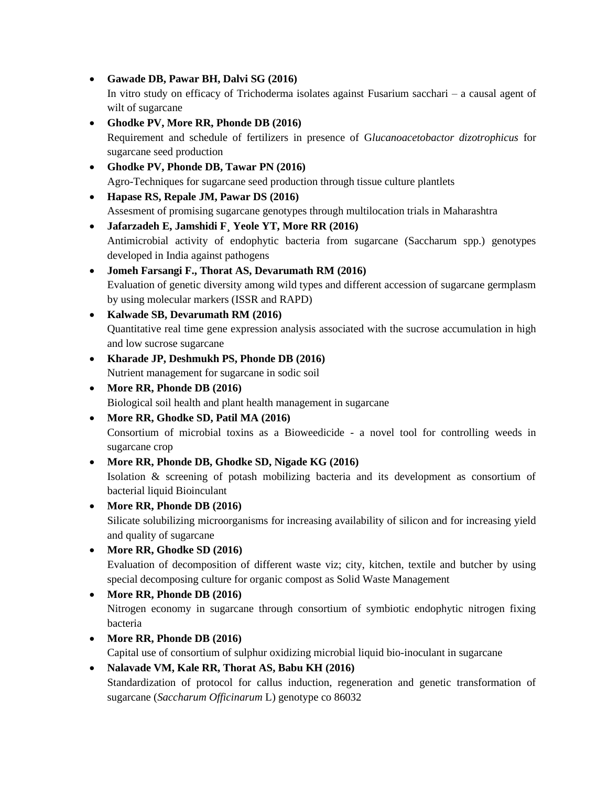- **Gawade DB, Pawar BH, Dalvi SG (2016)** In vitro study on efficacy of Trichoderma isolates against Fusarium sacchari – a causal agent of wilt of sugarcane
- **Ghodke PV, More RR, Phonde DB (2016)** Requirement and schedule of fertilizers in presence of G*lucanoacetobactor dizotrophicus* for sugarcane seed production
- **Ghodke PV, Phonde DB, Tawar PN (2016)** Agro-Techniques for sugarcane seed production through tissue culture plantlets
- **Hapase RS, Repale JM, Pawar DS (2016)** Assesment of promising sugarcane genotypes through multilocation trials in Maharashtra
- **Jafarzadeh E, Jamshidi F¸ Yeole YT, More RR (2016)** Antimicrobial activity of endophytic bacteria from sugarcane (Saccharum spp.) genotypes developed in India against pathogens
- **Jomeh Farsangi F., Thorat AS, Devarumath RM (2016)** Evaluation of genetic diversity among wild types and different accession of sugarcane germplasm by using molecular markers (ISSR and RAPD)
- **Kalwade SB, Devarumath RM (2016)** Quantitative real time gene expression analysis associated with the sucrose accumulation in high and low sucrose sugarcane
- **Kharade JP, Deshmukh PS, Phonde DB (2016)**  Nutrient management for sugarcane in sodic soil
- **More RR, Phonde DB (2016)** Biological soil health and plant health management in sugarcane
- **More RR, Ghodke SD, Patil MA (2016)** Consortium of microbial toxins as a Bioweedicide - a novel tool for controlling weeds in sugarcane crop
- **More RR, Phonde DB, Ghodke SD, Nigade KG (2016)** Isolation & screening of potash mobilizing bacteria and its development as consortium of bacterial liquid Bioinculant
- **More RR, Phonde DB (2016)** Silicate solubilizing microorganisms for increasing availability of silicon and for increasing yield and quality of sugarcane
- **More RR, Ghodke SD (2016)** Evaluation of decomposition of different waste viz; city, kitchen, textile and butcher by using
- special decomposing culture for organic compost as Solid Waste Management • **More RR, Phonde DB (2016)** Nitrogen economy in sugarcane through consortium of symbiotic endophytic nitrogen fixing bacteria
- **More RR, Phonde DB (2016)** Capital use of consortium of sulphur oxidizing microbial liquid bio-inoculant in sugarcane
- **Nalavade VM, Kale RR, Thorat AS, Babu KH (2016)** Standardization of protocol for callus induction, regeneration and genetic transformation of sugarcane (*Saccharum Officinarum* L) genotype co 86032